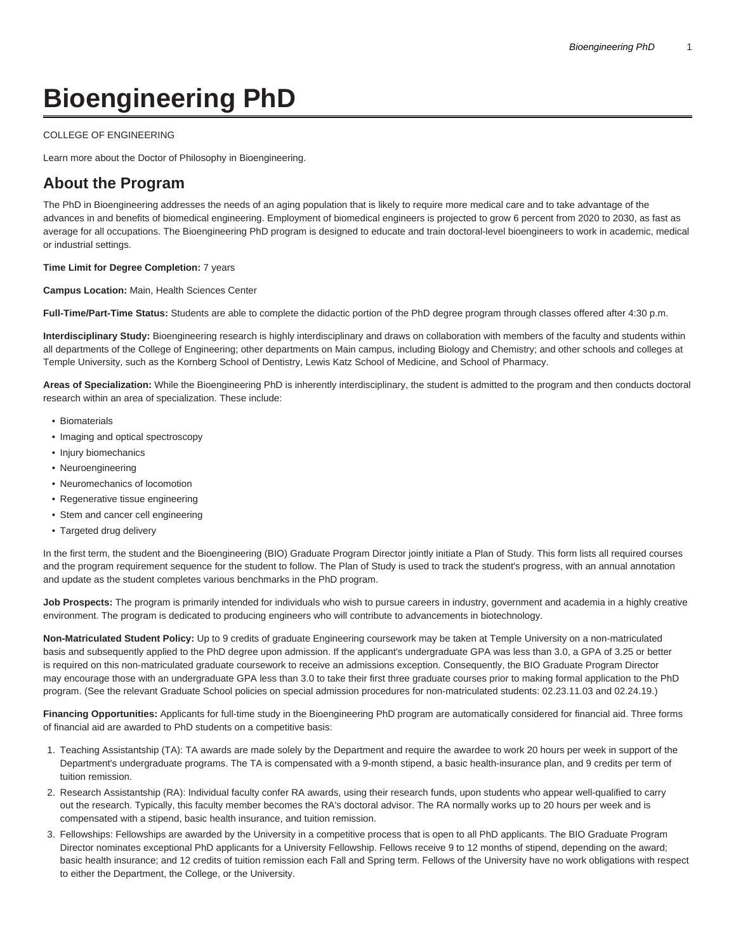# **Bioengineering PhD**

#### [COLLEGE OF ENGINEERING](https://engineering.temple.edu/)

[Learn more about the Doctor of Philosophy in Bioengineering.](https://www.temple.edu/academics/degree-programs/bioengineering-phd-en-bioe-phd/)

# **About the Program**

The PhD in Bioengineering addresses the needs of an aging population that is likely to require more medical care and to take advantage of the advances in and benefits of biomedical engineering. Employment of biomedical engineers is projected to grow 6 percent from 2020 to 2030, as fast as average for all occupations. The Bioengineering PhD program is designed to educate and train doctoral-level bioengineers to work in academic, medical or industrial settings.

#### **Time Limit for Degree Completion:** 7 years

**Campus Location:** Main, Health Sciences Center

**Full-Time/Part-Time Status:** Students are able to complete the didactic portion of the PhD degree program through classes offered after 4:30 p.m.

**Interdisciplinary Study:** Bioengineering research is highly interdisciplinary and draws on collaboration with members of the faculty and students within all departments of the College of Engineering; other departments on Main campus, including Biology and Chemistry; and other schools and colleges at Temple University, such as the Kornberg School of Dentistry, Lewis Katz School of Medicine, and School of Pharmacy.

**Areas of Specialization:** While the Bioengineering PhD is inherently interdisciplinary, the student is admitted to the program and then conducts doctoral research within an area of specialization. These include:

- Biomaterials
- Imaging and optical spectroscopy
- Injury biomechanics
- Neuroengineering
- Neuromechanics of locomotion
- Regenerative tissue engineering
- Stem and cancer cell engineering
- Targeted drug delivery

In the first term, the student and the Bioengineering (BIO) Graduate Program Director jointly initiate a Plan of Study. This form lists all required courses and the program requirement sequence for the student to follow. The Plan of Study is used to track the student's progress, with an annual annotation and update as the student completes various benchmarks in the PhD program.

**Job Prospects:** The program is primarily intended for individuals who wish to pursue careers in industry, government and academia in a highly creative environment. The program is dedicated to producing engineers who will contribute to advancements in biotechnology.

**Non-Matriculated Student Policy:** Up to 9 credits of graduate Engineering coursework may be taken at Temple University on a non-matriculated basis and subsequently applied to the PhD degree upon admission. If the applicant's undergraduate GPA was less than 3.0, a GPA of 3.25 or better is required on this non-matriculated graduate coursework to receive an admissions exception. Consequently, the BIO Graduate Program Director may encourage those with an undergraduate GPA less than 3.0 to take their first three graduate courses prior to making formal application to the PhD program. (See the relevant Graduate School policies on special admission procedures for non-matriculated students: [02.23.11.03](https://bulletin.temple.edu/graduate/graduate-policies/#admissionrequirementstext) and [02.24.19](https://bulletin.temple.edu/graduate/graduate-policies/#graduatecreditstext).)

**Financing Opportunities:** Applicants for full-time study in the Bioengineering PhD program are automatically considered for financial aid. Three forms of financial aid are awarded to PhD students on a competitive basis:

- 1. Teaching Assistantship (TA): TA awards are made solely by the Department and require the awardee to work 20 hours per week in support of the Department's undergraduate programs. The TA is compensated with a 9-month stipend, a basic health-insurance plan, and 9 credits per term of tuition remission.
- 2. Research Assistantship (RA): Individual faculty confer RA awards, using their research funds, upon students who appear well-qualified to carry out the research. Typically, this faculty member becomes the RA's doctoral advisor. The RA normally works up to 20 hours per week and is compensated with a stipend, basic health insurance, and tuition remission.
- 3. Fellowships: Fellowships are awarded by the University in a competitive process that is open to all PhD applicants. The BIO Graduate Program Director nominates exceptional PhD applicants for a University Fellowship. Fellows receive 9 to 12 months of stipend, depending on the award; basic health insurance; and 12 credits of tuition remission each Fall and Spring term. Fellows of the University have no work obligations with respect to either the Department, the College, or the University.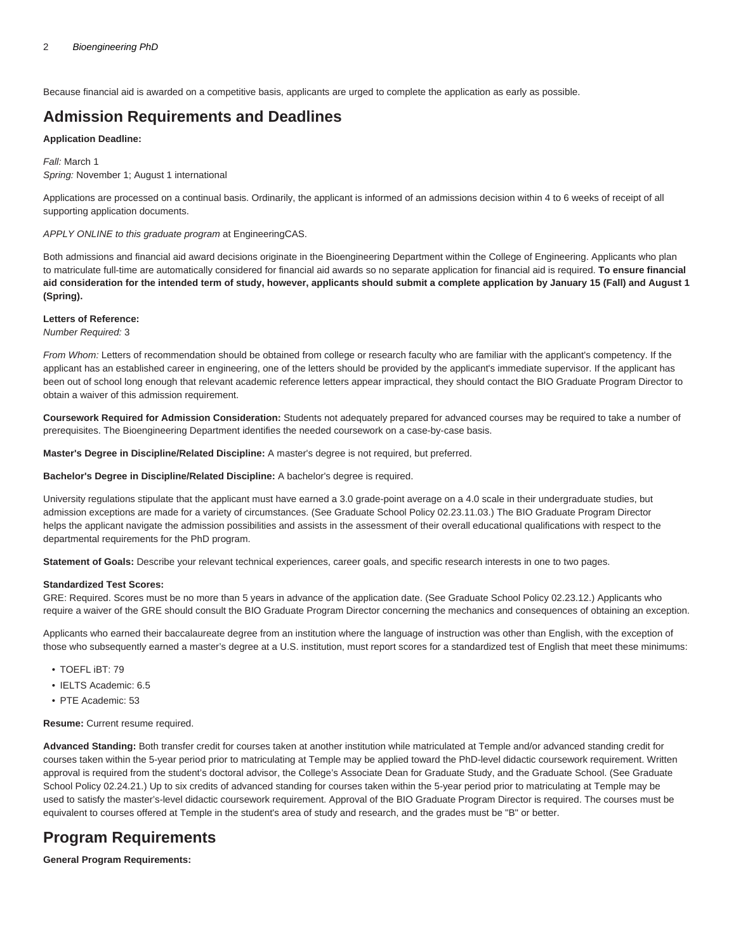Because financial aid is awarded on a competitive basis, applicants are urged to complete the application as early as possible.

# **Admission Requirements and Deadlines**

#### **Application Deadline:**

Fall: March 1 Spring: November 1; August 1 international

Applications are processed on a continual basis. Ordinarily, the applicant is informed of an admissions decision within 4 to 6 weeks of receipt of all supporting application documents.

APPLY ONLINE to this graduate program at EngineeringCAS.

Both admissions and financial aid award decisions originate in the Bioengineering Department within the College of Engineering. Applicants who plan to matriculate full-time are automatically considered for financial aid awards so no separate application for financial aid is required. **To ensure financial aid consideration for the intended term of study, however, applicants should submit a complete application by January 15 (Fall) and August 1 (Spring).**

#### **Letters of Reference:**

Number Required: 3

From Whom: Letters of recommendation should be obtained from college or research faculty who are familiar with the applicant's competency. If the applicant has an established career in engineering, one of the letters should be provided by the applicant's immediate supervisor. If the applicant has been out of school long enough that relevant academic reference letters appear impractical, they should contact the BIO Graduate Program Director to obtain a waiver of this admission requirement.

**Coursework Required for Admission Consideration:** Students not adequately prepared for advanced courses may be required to take a number of prerequisites. The Bioengineering Department identifies the needed coursework on a case-by-case basis.

**Master's Degree in Discipline/Related Discipline:** A master's degree is not required, but preferred.

**Bachelor's Degree in Discipline/Related Discipline:** A bachelor's degree is required.

University regulations stipulate that the applicant must have earned a 3.0 grade-point average on a 4.0 scale in their undergraduate studies, but admission exceptions are made for a variety of circumstances. (See [Graduate School Policy 02.23.11.03](https://bulletin.temple.edu/graduate/graduate-policies/#admissionrequirementstext).) The BIO Graduate Program Director helps the applicant navigate the admission possibilities and assists in the assessment of their overall educational qualifications with respect to the departmental requirements for the PhD program.

**Statement of Goals:** Describe your relevant technical experiences, career goals, and specific research interests in one to two pages.

#### **Standardized Test Scores:**

GRE: Required. Scores must be no more than 5 years in advance of the application date. (See [Graduate School Policy 02.23.12](https://bulletin.temple.edu/graduate/graduate-policies/#admissionrequirementstext).) Applicants who require a waiver of the GRE should consult the BIO Graduate Program Director concerning the mechanics and consequences of obtaining an exception.

Applicants who earned their baccalaureate degree from an institution where the language of instruction was other than English, with the exception of those who subsequently earned a master's degree at a U.S. institution, must report scores for a standardized test of English that meet these minimums:

- TOEFL iBT: 79
- IELTS Academic: 6.5
- PTE Academic: 53

**Resume:** Current resume required.

**Advanced Standing:** Both transfer credit for courses taken at another institution while matriculated at Temple and/or advanced standing credit for courses taken within the 5-year period prior to matriculating at Temple may be applied toward the PhD-level didactic coursework requirement. Written approval is required from the student's doctoral advisor, the College's Associate Dean for Graduate Study, and the Graduate School. (See [Graduate](https://bulletin.temple.edu/graduate/graduate-policies/#graduatecreditstext) [School Policy 02.24.21](https://bulletin.temple.edu/graduate/graduate-policies/#graduatecreditstext).) Up to six credits of advanced standing for courses taken within the 5-year period prior to matriculating at Temple may be used to satisfy the master's-level didactic coursework requirement. Approval of the BIO Graduate Program Director is required. The courses must be equivalent to courses offered at Temple in the student's area of study and research, and the grades must be "B" or better.

# **Program Requirements**

**General Program Requirements:**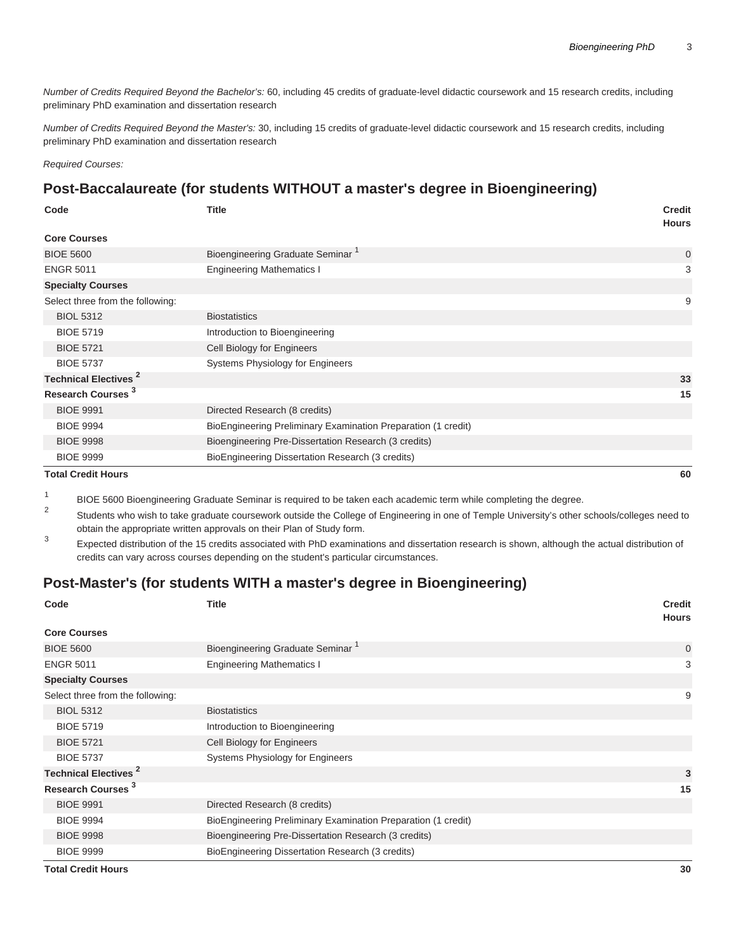Number of Credits Required Beyond the Bachelor's: 60, including 45 credits of graduate-level didactic coursework and 15 research credits, including preliminary PhD examination and dissertation research

Number of Credits Required Beyond the Master's: 30, including 15 credits of graduate-level didactic coursework and 15 research credits, including preliminary PhD examination and dissertation research

Required Courses:

## **Post-Baccalaureate (for students WITHOUT a master's degree in Bioengineering)**

| Code                                   | <b>Title</b>                                                  | <b>Credit</b><br><b>Hours</b> |
|----------------------------------------|---------------------------------------------------------------|-------------------------------|
| <b>Core Courses</b>                    |                                                               |                               |
| <b>BIOE 5600</b>                       | Bioengineering Graduate Seminar <sup>1</sup>                  | 0                             |
| <b>ENGR 5011</b>                       | <b>Engineering Mathematics I</b>                              | 3                             |
| <b>Specialty Courses</b>               |                                                               |                               |
| Select three from the following:       |                                                               | 9                             |
| <b>BIOL 5312</b>                       | <b>Biostatistics</b>                                          |                               |
| <b>BIOE 5719</b>                       | Introduction to Bioengineering                                |                               |
| <b>BIOE 5721</b>                       | Cell Biology for Engineers                                    |                               |
| <b>BIOE 5737</b>                       | Systems Physiology for Engineers                              |                               |
| <b>Technical Electives<sup>2</sup></b> |                                                               | 33                            |
| Research Courses <sup>3</sup>          |                                                               | 15                            |
| <b>BIOE 9991</b>                       | Directed Research (8 credits)                                 |                               |
| <b>BIOE 9994</b>                       | BioEngineering Preliminary Examination Preparation (1 credit) |                               |
| <b>BIOE 9998</b>                       | Bioengineering Pre-Dissertation Research (3 credits)          |                               |
| <b>BIOE 9999</b>                       | BioEngineering Dissertation Research (3 credits)              |                               |
| <b>Total Credit Hours</b>              |                                                               | 60                            |

1 BIOE 5600 Bioengineering Graduate Seminar is required to be taken each academic term while completing the degree.

2 Students who wish to take graduate coursework outside the College of Engineering in one of Temple University's other schools/colleges need to obtain the appropriate written approvals on their Plan of Study form.

3 Expected distribution of the 15 credits associated with PhD examinations and dissertation research is shown, although the actual distribution of credits can vary across courses depending on the student's particular circumstances.

# **Post-Master's (for students WITH a master's degree in Bioengineering)**

| Code                                   | <b>Title</b>                                                  | <b>Credit</b><br><b>Hours</b> |
|----------------------------------------|---------------------------------------------------------------|-------------------------------|
| <b>Core Courses</b>                    |                                                               |                               |
| <b>BIOE 5600</b>                       | Bioengineering Graduate Seminar <sup>1</sup>                  | $\mathbf 0$                   |
| <b>ENGR 5011</b>                       | <b>Engineering Mathematics I</b>                              | 3                             |
| <b>Specialty Courses</b>               |                                                               |                               |
| Select three from the following:       |                                                               | 9                             |
| <b>BIOL 5312</b>                       | <b>Biostatistics</b>                                          |                               |
| <b>BIOE 5719</b>                       | Introduction to Bioengineering                                |                               |
| <b>BIOE 5721</b>                       | Cell Biology for Engineers                                    |                               |
| <b>BIOE 5737</b>                       | Systems Physiology for Engineers                              |                               |
| <b>Technical Electives<sup>2</sup></b> |                                                               | 3                             |
| Research Courses <sup>3</sup>          |                                                               | 15                            |
| <b>BIOE 9991</b>                       | Directed Research (8 credits)                                 |                               |
| <b>BIOE 9994</b>                       | BioEngineering Preliminary Examination Preparation (1 credit) |                               |
| <b>BIOE 9998</b>                       | Bioengineering Pre-Dissertation Research (3 credits)          |                               |
| <b>BIOE 9999</b>                       | BioEngineering Dissertation Research (3 credits)              |                               |
| <b>Total Credit Hours</b>              |                                                               | 30                            |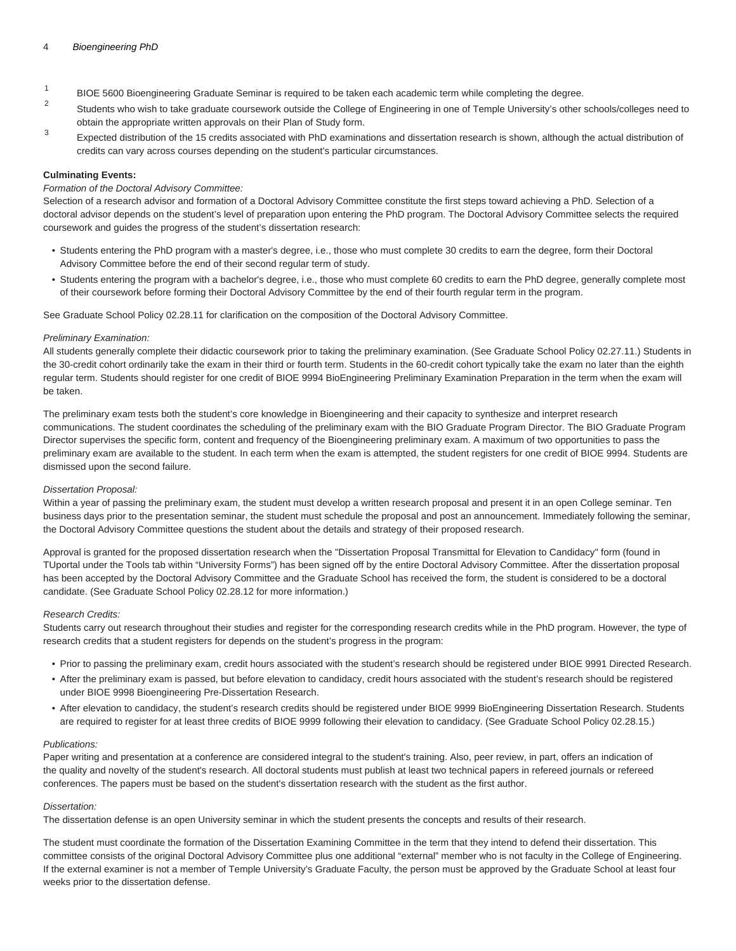- 1 BIOE 5600 Bioengineering Graduate Seminar is required to be taken each academic term while completing the degree.
- $\overline{2}$ Students who wish to take graduate coursework outside the College of Engineering in one of Temple University's other schools/colleges need to obtain the appropriate written approvals on their Plan of Study form.
- 3 Expected distribution of the 15 credits associated with PhD examinations and dissertation research is shown, although the actual distribution of credits can vary across courses depending on the student's particular circumstances.

#### **Culminating Events:**

#### Formation of the Doctoral Advisory Committee:

Selection of a research advisor and formation of a Doctoral Advisory Committee constitute the first steps toward achieving a PhD. Selection of a doctoral advisor depends on the student's level of preparation upon entering the PhD program. The Doctoral Advisory Committee selects the required coursework and guides the progress of the student's dissertation research:

- Students entering the PhD program with a master's degree, i.e., those who must complete 30 credits to earn the degree, form their Doctoral Advisory Committee before the end of their second regular term of study.
- Students entering the program with a bachelor's degree, i.e., those who must complete 60 credits to earn the PhD degree, generally complete most of their coursework before forming their Doctoral Advisory Committee by the end of their fourth regular term in the program.

See [Graduate School Policy 02.28.11](https://bulletin.temple.edu/graduate/graduate-policies/#dissertationtext) for clarification on the composition of the Doctoral Advisory Committee.

#### Preliminary Examination:

All students generally complete their didactic coursework prior to taking the preliminary examination. (See [Graduate School Policy 02.27.11](https://bulletin.temple.edu/graduate/graduate-policies/#doctorialtext).) Students in the 30-credit cohort ordinarily take the exam in their third or fourth term. Students in the 60-credit cohort typically take the exam no later than the eighth regular term. Students should register for one credit of BIOE 9994 BioEngineering Preliminary Examination Preparation in the term when the exam will be taken.

The preliminary exam tests both the student's core knowledge in Bioengineering and their capacity to synthesize and interpret research communications. The student coordinates the scheduling of the preliminary exam with the BIO Graduate Program Director. The BIO Graduate Program Director supervises the specific form, content and frequency of the Bioengineering preliminary exam. A maximum of two opportunities to pass the preliminary exam are available to the student. In each term when the exam is attempted, the student registers for one credit of BIOE 9994. Students are dismissed upon the second failure.

#### Dissertation Proposal:

Within a year of passing the preliminary exam, the student must develop a written research proposal and present it in an open College seminar. Ten business days prior to the presentation seminar, the student must schedule the proposal and post an announcement. Immediately following the seminar, the Doctoral Advisory Committee questions the student about the details and strategy of their proposed research.

Approval is granted for the proposed dissertation research when the "Dissertation Proposal Transmittal for Elevation to Candidacy" form (found in TUportal under the Tools tab within "University Forms") has been signed off by the entire Doctoral Advisory Committee. After the dissertation proposal has been accepted by the Doctoral Advisory Committee and the Graduate School has received the form, the student is considered to be a doctoral candidate. (See [Graduate School Policy 02.28.12](https://bulletin.temple.edu/graduate/graduate-policies/#dissertationtext) for more information.)

#### Research Credits:

Students carry out research throughout their studies and register for the corresponding research credits while in the PhD program. However, the type of research credits that a student registers for depends on the student's progress in the program:

- Prior to passing the preliminary exam, credit hours associated with the student's research should be registered under BIOE 9991 Directed Research.
- After the preliminary exam is passed, but before elevation to candidacy, credit hours associated with the student's research should be registered under BIOE 9998 Bioengineering Pre-Dissertation Research.
- After elevation to candidacy, the student's research credits should be registered under BIOE 9999 BioEngineering Dissertation Research. Students are required to register for at least three credits of BIOE 9999 following their elevation to candidacy. (See [Graduate School Policy 02.28.15](https://bulletin.temple.edu/graduate/graduate-policies/#dissertationtext).)

#### Publications:

Paper writing and presentation at a conference are considered integral to the student's training. Also, peer review, in part, offers an indication of the quality and novelty of the student's research. All doctoral students must publish at least two technical papers in refereed journals or refereed conferences. The papers must be based on the student's dissertation research with the student as the first author.

#### Dissertation:

The dissertation defense is an open University seminar in which the student presents the concepts and results of their research.

The student must coordinate the formation of the Dissertation Examining Committee in the term that they intend to defend their dissertation. This committee consists of the original Doctoral Advisory Committee plus one additional "external" member who is not faculty in the College of Engineering. If the external examiner is not a member of Temple University's Graduate Faculty, the person must be approved by the Graduate School at least four weeks prior to the dissertation defense.